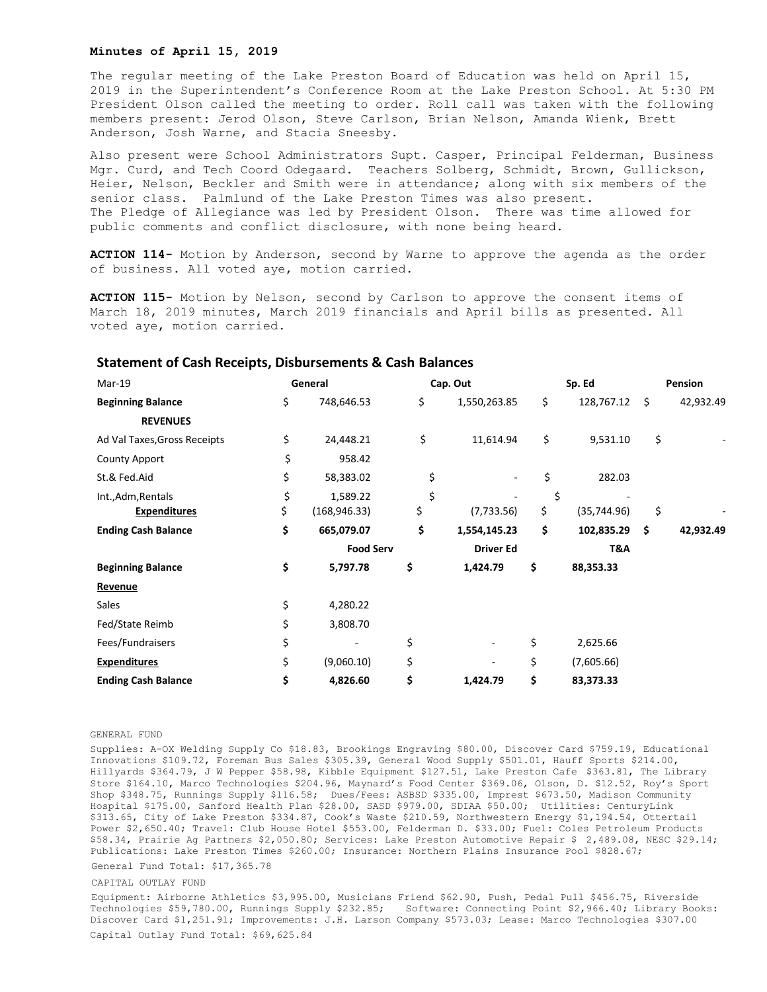## **Minutes of April 15, 2019**

The regular meeting of the Lake Preston Board of Education was held on April 15, 2019 in the Superintendent's Conference Room at the Lake Preston School. At 5:30 PM President Olson called the meeting to order. Roll call was taken with the following members present: Jerod Olson, Steve Carlson, Brian Nelson, Amanda Wienk, Brett Anderson, Josh Warne, and Stacia Sneesby.

Also present were School Administrators Supt. Casper, Principal Felderman, Business Mgr. Curd, and Tech Coord Odegaard. Teachers Solberg, Schmidt, Brown, Gullickson, Heier, Nelson, Beckler and Smith were in attendance; along with six members of the senior class. Palmlund of the Lake Preston Times was also present. The Pledge of Allegiance was led by President Olson. There was time allowed for public comments and conflict disclosure, with none being heard.

**ACTION 114-** Motion by Anderson, second by Warne to approve the agenda as the order of business. All voted aye, motion carried.

**ACTION 115-** Motion by Nelson, second by Carlson to approve the consent items of March 18, 2019 minutes, March 2019 financials and April bills as presented. All voted aye, motion carried.

| Mar-19                       | General |                  | Cap. Out |                  | Sp. Ed |              | Pension |           |
|------------------------------|---------|------------------|----------|------------------|--------|--------------|---------|-----------|
| <b>Beginning Balance</b>     | \$      | 748,646.53       | \$       | 1,550,263.85     | \$     | 128,767.12   | \$      | 42,932.49 |
| <b>REVENUES</b>              |         |                  |          |                  |        |              |         |           |
| Ad Val Taxes, Gross Receipts | \$      | 24,448.21        | \$       | 11,614.94        | \$     | 9,531.10     | \$      |           |
| <b>County Apport</b>         | \$      | 958.42           |          |                  |        |              |         |           |
| St.& Fed.Aid                 | \$      | 58,383.02        | \$       |                  | \$     | 282.03       |         |           |
| Int., Adm, Rentals           | \$      | 1,589.22         | \$       |                  | \$     |              |         |           |
| <b>Expenditures</b>          | \$      | (168, 946.33)    | \$       | (7,733.56)       | \$     | (35, 744.96) | \$      |           |
| <b>Ending Cash Balance</b>   | \$      | 665,079.07       | \$       | 1,554,145.23     | \$     | 102,835.29   | \$      | 42,932.49 |
|                              |         | <b>Food Serv</b> |          | <b>Driver Ed</b> |        | T&A          |         |           |
| <b>Beginning Balance</b>     | \$      | 5,797.78         | \$       | 1,424.79         | \$     | 88,353.33    |         |           |
| Revenue                      |         |                  |          |                  |        |              |         |           |
| Sales                        | \$      | 4,280.22         |          |                  |        |              |         |           |
| Fed/State Reimb              | \$      | 3,808.70         |          |                  |        |              |         |           |
| Fees/Fundraisers             | \$      |                  | \$       |                  | \$     | 2,625.66     |         |           |
| <b>Expenditures</b>          | \$      | (9,060.10)       | \$       |                  | \$     | (7,605.66)   |         |           |
| <b>Ending Cash Balance</b>   | \$      | 4,826.60         | \$       | 1,424.79         | \$     | 83,373.33    |         |           |

## **Statement of Cash Receipts, Disbursements & Cash Balances**

## GENERAL FUND

Supplies: A-OX Welding Supply Co \$18.83, Brookings Engraving \$80.00, Discover Card \$759.19, Educational Innovations \$109.72, Foreman Bus Sales \$305.39, General Wood Supply \$501.01, Hauff Sports \$214.00, Hillyards \$364.79, J W Pepper \$58.98, Kibble Equipment \$127.51, Lake Preston Cafe \$363.81, The Library Store \$164.10, Marco Technologies \$204.96, Maynard's Food Center \$369.06, Olson, D. \$12.52, Roy's Sport Shop \$348.75, Runnings Supply \$116.58; Dues/Fees: ASBSD \$335.00, Imprest \$673.50, Madison Community Hospital \$175.00, Sanford Health Plan \$28.00, SASD \$979.00, SDIAA \$50.00; Utilities: CenturyLink \$313.65, City of Lake Preston \$334.87, Cook's Waste \$210.59, Northwestern Energy \$1,194.54, Ottertail Power \$2,650.40; Travel: Club House Hotel \$553.00, Felderman D. \$33.00; Fuel: Coles Petroleum Products \$58.34, Prairie Ag Partners \$2,050.80; Services: Lake Preston Automotive Repair \$ 2,489.08, NESC \$29.14; Publications: Lake Preston Times \$260.00; Insurance: Northern Plains Insurance Pool \$828.67;

General Fund Total: \$17,365.78

## CAPITAL OUTLAY FUND

Equipment: Airborne Athletics \$3,995.00, Musicians Friend \$62.90, Push, Pedal Pull \$456.75, Riverside Technologies \$59,780.00, Runnings Supply \$232.85; Software: Connecting Point \$2,966.40; Library Books: Discover Card \$1,251.91; Improvements: J.H. Larson Company \$573.03; Lease: Marco Technologies \$307.00 Capital Outlay Fund Total: \$69,625.84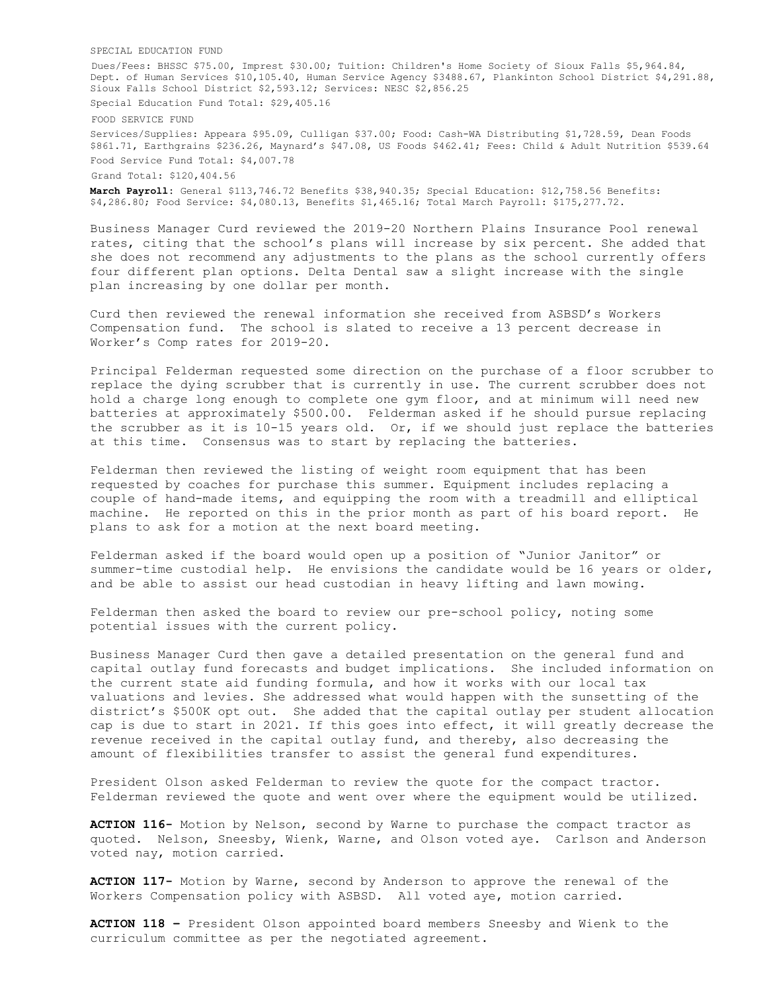SPECIAL EDUCATION FUND

Dues/Fees: BHSSC \$75.00, Imprest \$30.00; Tuition: Children's Home Society of Sioux Falls \$5,964.84, Dept. of Human Services \$10,105.40, Human Service Agency \$3488.67, Plankinton School District \$4,291.88, Sioux Falls School District \$2,593.12; Services: NESC \$2,856.25 Special Education Fund Total: \$29,405.16

FOOD SERVICE FUND

Services/Supplies: Appeara \$95.09, Culligan \$37.00; Food: Cash-WA Distributing \$1,728.59, Dean Foods \$861.71, Earthgrains \$236.26, Maynard's \$47.08, US Foods \$462.41; Fees: Child & Adult Nutrition \$539.64 Food Service Fund Total: \$4,007.78 Grand Total: \$120,404.56

**March Payroll:** General \$113,746.72 Benefits \$38,940.35; Special Education: \$12,758.56 Benefits: \$4,286.80; Food Service: \$4,080.13, Benefits \$1,465.16; Total March Payroll: \$175,277.72.

Business Manager Curd reviewed the 2019-20 Northern Plains Insurance Pool renewal rates, citing that the school's plans will increase by six percent. She added that she does not recommend any adjustments to the plans as the school currently offers four different plan options. Delta Dental saw a slight increase with the single plan increasing by one dollar per month.

Curd then reviewed the renewal information she received from ASBSD's Workers Compensation fund. The school is slated to receive a 13 percent decrease in Worker's Comp rates for 2019-20.

Principal Felderman requested some direction on the purchase of a floor scrubber to replace the dying scrubber that is currently in use. The current scrubber does not hold a charge long enough to complete one gym floor, and at minimum will need new batteries at approximately \$500.00. Felderman asked if he should pursue replacing the scrubber as it is  $10-15$  years old. Or, if we should just replace the batteries at this time. Consensus was to start by replacing the batteries.

Felderman then reviewed the listing of weight room equipment that has been requested by coaches for purchase this summer. Equipment includes replacing a couple of hand-made items, and equipping the room with a treadmill and elliptical machine. He reported on this in the prior month as part of his board report. He plans to ask for a motion at the next board meeting.

Felderman asked if the board would open up a position of "Junior Janitor" or summer-time custodial help. He envisions the candidate would be 16 years or older, and be able to assist our head custodian in heavy lifting and lawn mowing.

Felderman then asked the board to review our pre-school policy, noting some potential issues with the current policy.

Business Manager Curd then gave a detailed presentation on the general fund and capital outlay fund forecasts and budget implications. She included information on the current state aid funding formula, and how it works with our local tax valuations and levies. She addressed what would happen with the sunsetting of the district's \$500K opt out. She added that the capital outlay per student allocation cap is due to start in 2021. If this goes into effect, it will greatly decrease the revenue received in the capital outlay fund, and thereby, also decreasing the amount of flexibilities transfer to assist the general fund expenditures.

President Olson asked Felderman to review the quote for the compact tractor. Felderman reviewed the quote and went over where the equipment would be utilized.

**ACTION 116-** Motion by Nelson, second by Warne to purchase the compact tractor as quoted. Nelson, Sneesby, Wienk, Warne, and Olson voted aye. Carlson and Anderson voted nay, motion carried.

**ACTION 117-** Motion by Warne, second by Anderson to approve the renewal of the Workers Compensation policy with ASBSD. All voted aye, motion carried.

**ACTION 118 –** President Olson appointed board members Sneesby and Wienk to the curriculum committee as per the negotiated agreement.